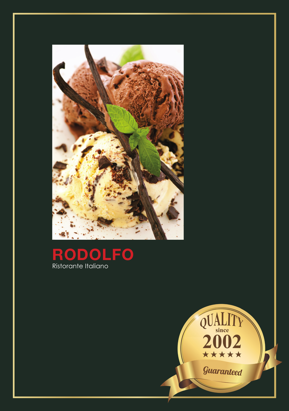



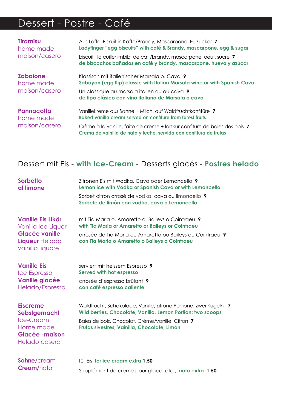# Dessert - Postre - Café

| <b>Tiramisu</b><br>home made<br>maison/casero | Aus Löffel Biskuit in Kaffe/Brandy, Mascarpone, Ei, Zucker 7<br>Ladyfinger "egg biscuits" with café & Brandy, mascarpone, egg & sugar<br>biscuit la cuiller imbib de caf/brandy, mascarpone, oeuf, sucre 7<br>de bizcochos bañados en café y brandy, mascarpone, huevo y azúcar |
|-----------------------------------------------|---------------------------------------------------------------------------------------------------------------------------------------------------------------------------------------------------------------------------------------------------------------------------------|
| <b>Zabajone</b><br>home made<br>maison/casero | Klassisch mit italienischer Marsala o. Cava 9<br>Sabayon (egg flip) classic with Italian Marsala wine or with Spanish Cava<br>Un classique au marsala italien ou au cava 9<br>de tipo clásico con vino italiano de Marsala o cava                                               |
| Pannacotta<br>home made<br>maison/casero      | Vanillekreme aus Sahne + Milch, auf Waldfruchtkonfitüre 7<br><b>Baked vanilla cream served on confiture from forest fruits</b>                                                                                                                                                  |
|                                               | Crème à la vanille, faite de crème + lait sur confiture de baies des bois 7<br>Crema de vainilla de nata y leche, servida con confitura de frutas                                                                                                                               |

### Dessert mit Eis - **with Ice-Cream** - Desserts glacés - **Postres helado**

| <b>Sorbetto</b><br>al limone                                                                                  | Zitronen Eis mit Wodka, Cava oder Lemoncello 9<br>Lemon ice with Vodka or Spanish Cava or with Lemoncello                                                                                                                           |
|---------------------------------------------------------------------------------------------------------------|-------------------------------------------------------------------------------------------------------------------------------------------------------------------------------------------------------------------------------------|
|                                                                                                               | Sorbet citron arrosé de vodka, cava ou limoncello 9<br>Sorbete de limón con vodka, cava o Lemoncello                                                                                                                                |
| <b>Vanille Eis Likör</b><br>Vanilla Ice Liquor<br><b>Glacée vanille</b><br>Liqueur Helado<br>vainilla liquore | mit Tia Maria o. Amaretto o. Baileys o. Cointraeu 9<br>with Tia Maria or Amaretto or Baileys or Cointraeu<br>arrosée de Tia Maria ou Amaretto ou Baileys ou Cointraeu 9<br>con Tia Maria o Amaretto o Baileys o Cointraeu           |
| <b>Vanille Eis</b><br><b>Ice Espresso</b><br><b>Vanille glacée</b><br>Helado/Espresso                         | serviert mit heissem Espresso 9<br>Served with hot espresso<br>arrosée d'espresso brûlant 9<br>con café espresso caliente                                                                                                           |
| <b>Eiscreme</b><br>Sebstgemacht<br><b>Ice-Cream</b><br>Home made<br><b>Glacée -maison</b><br>Helado casera    | Waldfrucht, Schokolade, Vanille, Zitrone Portione: zwei Kugeln 7<br>Wild berries, Chocolate, Vanilla, Lemon Portion: two scoops<br>Baies de bois, Chocolat, Crème/vanille, Citron 7<br>Frutas sivestres, Vainilla, Chocolate, Limón |
| Sahne/cream<br><b>Cream/nata</b>                                                                              | für Eis for ice cream extra 1.50<br>Supplément de crème pour glace, etc., nata extra 1.50                                                                                                                                           |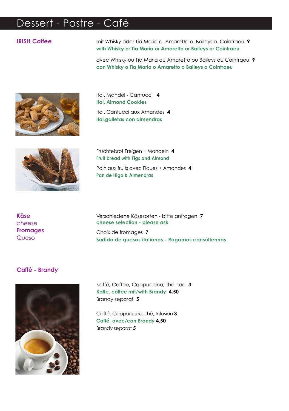## Dessert - Postre - Café

### **IRISH Coffee**

mit Whisky oder Tia Maria o. Amaretto o. Baileys o. Cointraeu 9 with Whisky or Tia Maria or Amaretto or Baileys or Cointraeu

avec Whisky ou Tia Maria ou Amaretto ou Baileys ou Cointraeu 9 con Whisky o Tia Maria o Amaretto o Baileys o Cointraeu



Ital. Mandel - Cantucci 4 **Ital. Almond Cookies** Ital, Cantucci aux Amandes 4 Ital.galletas con almendras



Früchtebrot Freigen + Mandeln 4 **Fruit bread with Figs and Almond** Pain aux fruits avec Fiques + Amandes 4 Pan de Higo & Almendras

**Käse** cheese **Fromages** Queso

Verschiedene Käsesorten - bitte anfragen 7 cheese selection - please ask

Choix de fromages 7 Surtido de quesos italianos - Rogamos consúltennos

#### Caffé - Brandy



Kaffé, Coffee, Cappuccino, Thé, tea 3 Kaffe, coffee mit/with Brandy 4.50 Brandy separat 5

Caffé, Cappuccino, Thé, Infusion 3 Caffé, avec/con Brandy 4.50 Brandy separat 5